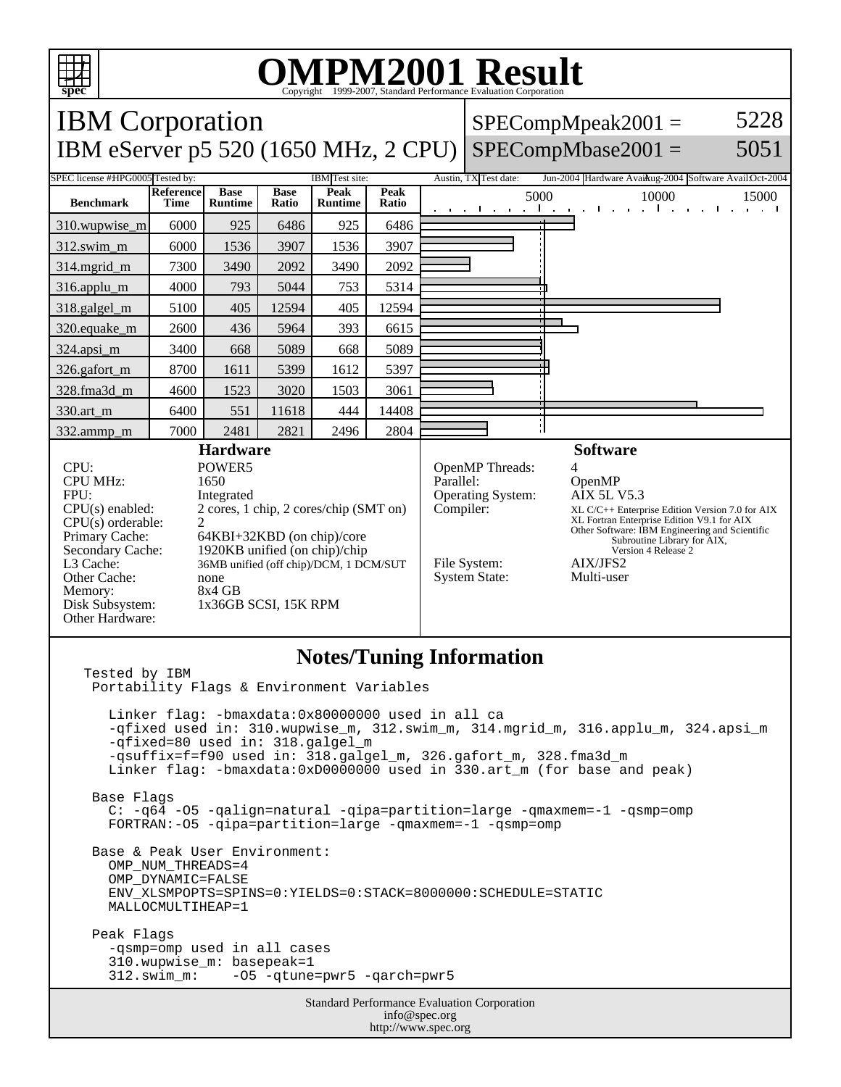

## **OMPM2001 Result** Copyright 1999-2007, Standard Performance Evaluation Corporation

IBM Corporation  $SPECompMpeak2001 =$ 5228 IBM eServer p5 520 (1650 MHz, 2 CPU) SPECompMbase2001 = 5051 SPEC license #HPG0005 Tested by: IBM Test site: Austin, TX Test date: Jun-2004 Hardware Avail: Austin, 2004 Software Avail: Oct-2004 **Base Reference Base Peak Peak Peak**<br>**Ratio** 5000 10000 15000 **Benchmark Time Runtime Ratio Runtime** 310.wupwise\_m 6000 925 6486 925 6486 312.swim\_m 6000 1536 3907 1536 3907 314.mgrid\_m 7300 3490 2092 3490 2092 316.applu\_m | 4000 | 793 | 5044 | 753 | 5314 318.galgel\_m | 5100 | 405 | 12594 | 405 | 12594 320.equake\_m 2600 436 5964 393 6615 324.apsi\_m | 3400 668 5089 668 5089 326.gafort\_m | 8700 | 1611 | 5399 | 1612 | 5397 328.fma3d\_m | 4600 | 1523 | 3020 | 1503 | 3061 330.art\_m 6400 551 11618 444 14408 Я 332.ammp\_m | 7000 | 2481 | 2821 | 2496 | 2804 **Hardware Software** CPU: POWER5<br>
CPU MHz: 1650 OpenMP Threads:<br>Parallel: CPU MHz: OpenMP FPU: Integrated Operating System: AIX 5L V5.3 CPU(s) enabled: 2 cores, 1 chip, 2 cores/chip (SMT on) Compiler: XL C/C++ Enterprise Edition Version 7.0 for AIX CPU(s) orderable:<br>Primary Cache: XL Fortran Enterprise Edition V9.1 for AIX Other Software: IBM Engineering and Scientific Subroutine Library for AIX, Primary Cache: 64KBI+32KBD (on chip)/core<br>Secondary Cache: 1920KB unified (on chip)/chip 1920KB unified (on chip)/chip Version 4 Release 2 L3 Cache: 36MB unified (off chip)/DCM, 1 DCM/SUT File System: <br>System State: Multi-user Other Cache: none<br>Memory: 8x4 GB System State: Memory:<br>Disk Subsystem: 1x36GB SCSI, 15K RPM Other Hardware: **Notes/Tuning Information** Tested by IBM Portability Flags & Environment Variables Linker flag: -bmaxdata:0x80000000 used in all ca -qfixed used in: 310.wupwise\_m, 312.swim\_m, 314.mgrid\_m, 316.applu\_m, 324.apsi\_m -qfixed=80 used in: 318.galgel\_m -qsuffix=f=f90 used in: 318.galgel\_m, 326.gafort\_m, 328.fma3d\_m Linker flag: -bmaxdata:0xD0000000 used in 330.art\_m (for base and peak) Base Flags C: -q64 -O5 -qalign=natural -qipa=partition=large -qmaxmem=-1 -qsmp=omp FORTRAN:-O5 -qipa=partition=large -qmaxmem=-1 -qsmp=omp Base & Peak User Environment: OMP\_NUM\_THREADS=4 OMP\_DYNAMIC=FALSE ENV\_XLSMPOPTS=SPINS=0:YIELDS=0:STACK=8000000:SCHEDULE=STATIC MALLOCMULTIHEAP=1 Peak Flags -qsmp=omp used in all cases 310.wupwise\_m: basepeak=1 312.swim\_m: -O5 -qtune=pwr5 -qarch=pwr5Standard Performance Evaluation Corporation info@spec.org http://www.spec.org